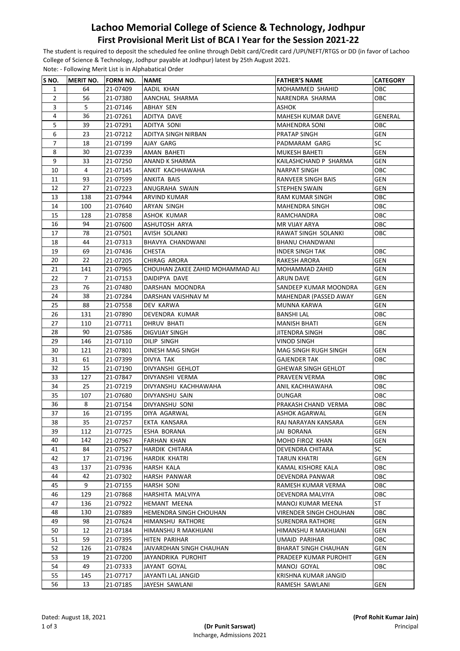## **Lachoo Memorial College of Science & Technology, Jodhpur First Provisional Merit List of BCA I Year for the Session 2021-22**

The student is required to deposit the scheduled fee online through Debit card/Credit card /UPI/NEFT/RTGS or DD (in favor of Lachoo College of Science & Technology, Jodhpur payable at Jodhpur) latest by 25th August 2021. Note: - Following Merit List is in Alphabatical Order

| S NO.          | <b>MERIT NO.</b> | <b>FORM NO.</b>      | INAME                                             | <b>FATHER'S NAME</b>                              | <b>CATEGORY</b> |
|----------------|------------------|----------------------|---------------------------------------------------|---------------------------------------------------|-----------------|
| $\mathbf{1}$   | 64               | 21-07409             | AADIL KHAN                                        | MOHAMMED SHAHID                                   | OBC             |
| $\overline{2}$ | 56               | 21-07380             | AANCHAL SHARMA                                    | NARENDRA SHARMA                                   | OBC             |
| 3              | 5                | 21-07146             | ABHAY SEN                                         | <b>ASHOK</b>                                      |                 |
| 4              | 36               | 21-07261             | ADITYA DAVE                                       | MAHESH KUMAR DAVE                                 | GENERAL         |
| 5              | 39               | 21-07291             | ADITYA SONI                                       | <b>MAHENDRA SONI</b>                              | OBC             |
| 6              | 23               | 21-07212             | ADITYA SINGH NIRBAN                               | PRATAP SINGH                                      | GEN             |
| $\overline{7}$ | 18               | 21-07199             | AJAY GARG                                         | PADMARAM GARG                                     | SC              |
| 8              | 30               | 21-07239             | AMAN BAHETI                                       | MUKESH BAHETI                                     | GEN             |
| 9              | 33               | 21-07250             | ANAND K SHARMA                                    | KAILASHCHAND P SHARMA                             | <b>GEN</b>      |
| 10             | 4                | 21-07145             | ANKIT KACHHAWAHA                                  | <b>NARPAT SINGH</b>                               | OBC             |
| 11             | 93               | 21-07599             | ANKITA BAIS                                       | RANVEER SINGH BAIS                                | GEN             |
| 12             | 27               | 21-07223             | ANUGRAHA SWAIN                                    | <b>STEPHEN SWAIN</b>                              | GEN             |
| 13             | 138              | 21-07944             | <b>ARVIND KUMAR</b>                               | RAM KUMAR SINGH                                   | ОВС             |
| 14             | 100              | 21-07640             | ARYAN SINGH                                       | MAHENDRA SINGH                                    | ОВС             |
| 15             | 128              | 21-07858             | ASHOK KUMAR                                       | RAMCHANDRA                                        | ОВС             |
| 16             | 94               | 21-07600             | ASHUTOSH ARYA                                     | MR VIJAY ARYA                                     | ОВС             |
| 17             | 78               | 21-07501             | AVISH SOLANKI                                     | RAWAT SINGH SOLANKI                               | OBC             |
| 18             | 44               | 21-07313             | BHAVYA CHANDWANI                                  | <b>BHANU CHANDWANI</b>                            |                 |
| 19             | 69               | 21-07436             | <b>CHESTA</b>                                     | <b>INDER SINGH TAK</b>                            | ОВС             |
| 20             | 22               | 21-07205             | CHIRAG ARORA                                      | <b>RAKESH ARORA</b>                               | GEN             |
| 21             | 141              | 21-07965             | CHOUHAN ZAKEE ZAHID MOHAMMAD ALI                  | MOHAMMAD ZAHID                                    | GEN             |
| 22             | $\overline{7}$   | 21-07153             | DAIDIPYA DAVE                                     | ARUN DAVE                                         | <b>GEN</b>      |
| 23             | 76               | 21-07480             | DARSHAN MOONDRA                                   | SANDEEP KUMAR MOONDRA                             | GEN             |
| 24             | 38               | 21-07284             | DARSHAN VAISHNAV M                                | MAHENDAR (PASSED AWAY                             | GEN             |
| 25             | 88               | 21-07558             | DEV KARWA                                         | MUNNA KARWA                                       | GEN             |
| 26             | 131              | 21-07890             | DEVENDRA KUMAR                                    | <b>BANSHI LAL</b>                                 | OBC             |
| 27             | 110              | 21-07711             | DHRUV BHATI                                       | <b>MANISH BHATI</b>                               | GEN             |
| 28             | 90               | 21-07586             | DIGVIJAY SINGH                                    | JITENDRA SINGH                                    | ОВС             |
| 29             | 146              | 21-07110             | DILIP SINGH                                       | <b>VINOD SINGH</b>                                |                 |
| 30             | 121              | 21-07801             | DINESH MAG SINGH                                  | MAG SINGH RUGH SINGH                              | GEN             |
| 31             | 61               | 21-07399             | DIVYA TAK                                         | <b>GAJENDER TAK</b>                               | OBC             |
| 32             | 15               | 21-07190             | DIVYANSHI GEHLOT                                  | <b>GHEWAR SINGH GEHLOT</b>                        |                 |
| 33             | 127              | 21-07847             | DIVYANSHI VERMA                                   | PRAVEEN VERMA                                     | ОВС             |
| 34             | 25               | 21-07219             | DIVYANSHU KACHHAWAHA                              | ANIL KACHHAWAHA                                   | OBC             |
| 35             | 107              | 21-07680             | DIVYANSHU SAIN                                    | DUNGAR                                            | OBC             |
| 36             | 8                | 21-07154             | DIVYANSHU SONI                                    | PRAKASH CHAND VERMA                               | OBC             |
| 37             | 16               | 21-07195             | DIYA AGARWAL                                      | ASHOK AGARWAL                                     | <b>GEN</b>      |
| 38             | 35               | 21-07257             | EKTA KANSARA                                      | RAJ NARAYAN KANSARA                               | <b>GEN</b>      |
| 39             | 112              | 21-07725             | ESHA BORANA                                       | JAI BORANA                                        | GEN             |
| 40             | 142              | 21-07967             | FARHAN KHAN                                       | MOHD FIROZ KHAN                                   | GEN             |
| 41             | 84               | 21-07527             | HARDIK CHITARA                                    | DEVENDRA CHITARA                                  | SC              |
| 42             | 17               | 21-07196             | HARDIK KHATRI                                     | TARUN KHATRI                                      | GEN             |
| 43             | 137              | 21-07936             | HARSH KALA                                        | KAMAL KISHORE KALA                                | <b>OBC</b>      |
| 44             | 42               | 21-07302             | HARSH PANWAR                                      | DEVENDRA PANWAR                                   | OBC             |
| 45             | 9                | 21-07155             | HARSH SONI                                        | RAMESH KUMAR VERMA                                | ОВС             |
| 46             | 129              | 21-07868             | HARSHITA MALVIYA                                  | DEVENDRA MALVIYA                                  | ОВС             |
| 47             | 136              | 21-07922             | HEMANT MEENA                                      | MANOJ KUMAR MEENA                                 | ST              |
| 48<br>49       | 130<br>98        | 21-07889             | <b>HEMENDRA SINGH CHOUHAN</b><br>HIMANSHU RATHORE | VIRENDER SINGH CHOUHAN<br><b>SURENDRA RATHORE</b> | ОВС<br>GEN      |
|                |                  | 21-07624             |                                                   |                                                   |                 |
| 50             | 12               | 21-07184             | HIMANSHU R MAKHIJANI                              | HIMANSHU R MAKHIJANI                              | GEN             |
| 51             | 59               | 21-07395             | HITEN PARIHAR                                     | UMAID PARIHAR                                     | ОВС             |
| 52<br>53       | 126<br>19        | 21-07824             | JAIVARDHAN SINGH CHAUHAN                          | <b>BHARAT SINGH CHAUHAN</b>                       | GEN             |
| 54             | 49               | 21-07200<br>21-07333 | JAYANDRIKA PUROHIT<br>JAYANT GOYAL                | PRADEEP KUMAR PUROHIT<br>MANOJ GOYAL              | GEN<br>ОВС      |
| 55             | 145              | 21-07717             | JAYANTI LAL JANGID                                | KRISHNA KUMAR JANGID                              |                 |
| 56             | 13               | 21-07185             | JAYESH SAWLANI                                    | RAMESH SAWLANI                                    | GEN             |
|                |                  |                      |                                                   |                                                   |                 |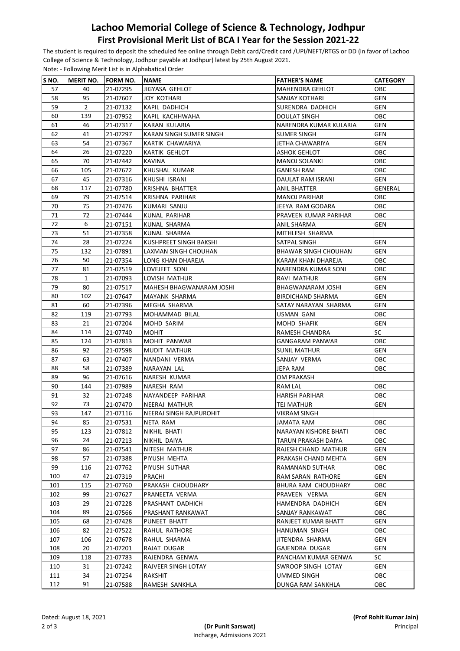## **Lachoo Memorial College of Science & Technology, Jodhpur First Provisional Merit List of BCA I Year for the Session 2021-22**

The student is required to deposit the scheduled fee online through Debit card/Credit card /UPI/NEFT/RTGS or DD (in favor of Lachoo College of Science & Technology, Jodhpur payable at Jodhpur) latest by 25th August 2021. Note: - Following Merit List is in Alphabatical Order

| S NO. | <b>MERIT NO.</b> | <b>FORM NO.</b> | <b>NAME</b>              | <b>FATHER'S NAME</b>        | <b>CATEGORY</b> |
|-------|------------------|-----------------|--------------------------|-----------------------------|-----------------|
| 57    | 40               | 21-07295        | JIGYASA GEHLOT           | MAHENDRA GEHLOT             | OBC             |
| 58    | 95               | 21-07607        | <b>JOY KOTHARI</b>       | SANJAY KOTHARI              | <b>GEN</b>      |
| 59    | $\overline{2}$   | 21-07132        | KAPIL DADHICH            | SURENDRA DADHICH            | <b>GEN</b>      |
| 60    | 139              | 21-07952        | KAPIL KACHHWAHA          | <b>DOULAT SINGH</b>         | ОВС             |
| 61    | 46               | 21-07317        | KARAN KULARIA            | NARENDRA KUMAR KULARIA      | <b>GEN</b>      |
| 62    | 41               | 21-07297        | KARAN SINGH SUMER SINGH  | SUMER SINGH                 | <b>GEN</b>      |
| 63    | 54               | 21-07367        | KARTIK CHAWARIYA         | JETHA CHAWARIYA             | <b>GEN</b>      |
| 64    | 26               | 21-07220        | KARTIK GEHLOT            | ASHOK GEHLOT                | ОВС             |
| 65    | 70               | 21-07442        | <b>KAVINA</b>            | <b>MANOJ SOLANKI</b>        | OBC             |
| 66    | 105              | 21-07672        | KHUSHAL KUMAR            | GANESH RAM                  | OBC             |
| 67    | 45               | 21-07316        | KHUSHI ISRANI            | DAULAT RAM ISRANI           | GEN             |
| 68    | 117              | 21-07780        | KRISHNA BHATTER          | ANIL BHATTER                | GENERAL         |
| 69    | 79               | 21-07514        | KRISHNA PARIHAR          | <b>MANOJ PARIHAR</b>        | ОВС             |
| 70    | 75               | 21-07476        | KUMARI SANJU             | JEEYA RAM GODARA            | <b>OBC</b>      |
| 71    | 72               | 21-07444        | KUNAL PARIHAR            | PRAVEEN KUMAR PARIHAR       | ОВС             |
| 72    | 6                | 21-07151        | KUNAL SHARMA             | ANIL SHARMA                 | GEN             |
| 73    | 51               | 21-07358        | KUNAL SHARMA             | MITHLESH SHARMA             |                 |
| 74    | 28               | 21-07224        | KUSHPREET SINGH BAKSHI   | SATPAL SINGH                | <b>GEN</b>      |
| 75    | 132              | 21-07891        | LAXMAN SINGH CHOUHAN     | <b>BHAWAR SINGH CHOUHAN</b> | GEN             |
| 76    | 50               | 21-07354        | LONG KHAN DHAREJA        | KARAM KHAN DHAREJA          | ОВС             |
| 77    | 81               | 21-07519        | LOVEJEET SONI            | NARENDRA KUMAR SONI         | ОВС             |
| 78    | $\mathbf{1}$     | 21-07093        | LOVISH MATHUR            | RAVI MATHUR                 | <b>GEN</b>      |
| 79    | 80               | 21-07517        | MAHESH BHAGWANARAM JOSHI | BHAGWANARAM JOSHI           | <b>GEN</b>      |
| 80    | 102              | 21-07647        | MAYANK SHARMA            | <b>BIRDICHAND SHARMA</b>    | <b>GEN</b>      |
| 81    | 60               | 21-07396        | MEGHA SHARMA             | SATAY NARAYAN SHARMA        | GEN             |
| 82    | 119              | 21-07793        | MOHAMMAD BILAL           | USMAN GANI                  | OBC             |
| 83    | 21               | 21-07204        | MOHD SARIM               | MOHD SHAFIK                 | <b>GEN</b>      |
| 84    | 114              | 21-07740        | MOHIT                    | RAMESH CHANDRA              | SC              |
| 85    | 124              | 21-07813        | MOHIT PANWAR             | GANGARAM PANWAR             | ОВС             |
| 86    | 92               | 21-07598        | MUDIT MATHUR             | <b>SUNIL MATHUR</b>         | <b>GEN</b>      |
| 87    | 63               | 21-07407        | NANDANI VERMA            | SANJAY VERMA                | OBC             |
| 88    | 58               | 21-07389        | NARAYAN LAL              | JEPA RAM                    | ОВС             |
| 89    | 96               | 21-07616        | NARESH KUMAR             | OM PRAKASH                  |                 |
| 90    | 144              | 21-07989        | NARESH RAM               | RAM LAL                     | ОВС             |
| 91    | 32               | 21-07248        | NAYANDEEP PARIHAR        | <b>HARISH PARIHAR</b>       | ОВС             |
| 92    | 73               | 21-07470        | <b>NEERAJ MATHUR</b>     | <b>TEJ MATHUR</b>           | GEN             |
| 93    | 147              | 21-07116        | NEERAJ SINGH RAJPUROHIT  | VIKRAM SINGH                |                 |
| 94    | 85               | 21-07531        | NETA RAM                 | JAMATA RAM                  | OBC             |
| 95    | 123              | 21-07812        | NIKHIL BHATI             | NARAYAN KISHORE BHATI       | ОВС             |
| 96    | 24               | 21-07213        | NIKHIL DAIYA             | TARUN PRAKASH DAIYA         | ОВС             |
| 97    | 86               | 21-07541        | NITESH MATHUR            | RAJESH CHAND MATHUR         | GEN             |
| 98    | 57               | 21-07388        | PIYUSH MEHTA             | PRAKASH CHAND MEHTA         | GEN             |
| 99    | 116              | 21-07762        | PIYUSH SUTHAR            | RAMANAND SUTHAR             | <b>OBC</b>      |
| 100   | 47               | 21-07319        | PRACHI                   | RAM SARAN RATHORE           | GEN             |
| 101   | 115              | 21-07760        | PRAKASH CHOUDHARY        | BHURA RAM CHOUDHARY         | ОВС             |
| 102   | 99               | 21-07627        | PRANEETA VERMA           | PRAVEEN VERMA               | GEN             |
| 103   | 29               | 21-07228        | PRASHANT DADHICH         | HAMENDRA DADHICH            | GEN             |
| 104   | 89               | 21-07566        | PRASHANT RANKAWAT        | SANJAY RANKAWAT             | ОВС             |
| 105   | 68               | 21-07428        | PUNEET BHATT             | RANJEET KUMAR BHATT         | GEN             |
| 106   | 82               | 21-07522        | RAHUL RATHORE            | HANUMAN SINGH               | OBC             |
| 107   | 106              | 21-07678        | RAHUL SHARMA             | JITENDRA SHARMA             | GEN             |
| 108   | 20               | 21-07201        | RAJAT DUGAR              | GAJENDRA DUGAR              | GEN             |
| 109   | 118              | 21-07783        | RAJENDRA GENWA           | PANCHAM KUMAR GENWA         | SC              |
| 110   | 31               | 21-07242        | RAJVEER SINGH LOTAY      | SWROOP SINGH LOTAY          | GEN             |
| 111   | 34               | 21-07254        | RAKSHIT                  | UMMED SINGH                 | ОВС             |
| 112   | 91               | 21-07588        | RAMESH SANKHLA           | DUNGA RAM SANKHLA           | OBC             |